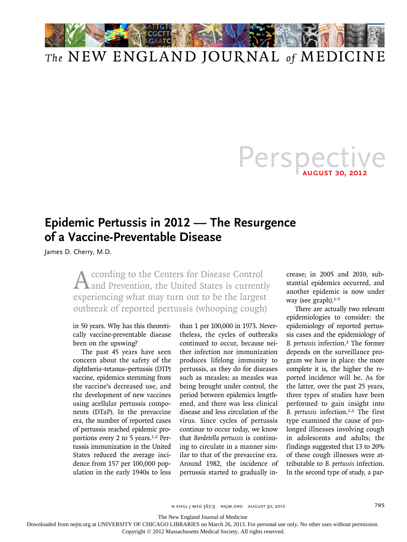

## *The* NEW ENGLAND JOURNAL *of* MEDICINE

## Perspective

## **Epidemic Pertussis in 2012 — The Resurgence of a Vaccine-Preventable Disease**

James D. Cherry, M.D.

According to the Centers for Disease Control and Prevention, the United States is currently experiencing what may turn out to be the largest outbreak of reported pertussis (whooping cough)

in 50 years. Why has this theoretically vaccine-preventable disease been on the upswing?

The past 45 years have seen concern about the safety of the diphtheria–tetanus–pertussis (DTP) vaccine, epidemics stemming from the vaccine's decreased use, and the development of new vaccines using acellular pertussis components (DTaP). In the prevaccine era, the number of reported cases of pertussis reached epidemic proportions every 2 to 5 years.<sup>1,2</sup> Pertussis immunization in the United States reduced the average incidence from 157 per 100,000 population in the early 1940s to less

than 1 per 100,000 in 1973. Nevertheless, the cycles of outbreaks continued to occur, because neither infection nor immunization produces lifelong immunity to pertussis, as they do for diseases such as measles; as measles was being brought under control, the period between epidemics lengthened, and there was less clinical disease and less circulation of the virus. Since cycles of pertussis continue to occur today, we know that *Bordetella pertussis* is continuing to circulate in a manner similar to that of the prevaccine era. Around 1982, the incidence of pertussis started to gradually increase; in 2005 and 2010, substantial epidemics occurred, and another epidemic is now under way (see graph).<sup>1-5</sup>

There are actually two relevant epidemiologies to consider: the epidemiology of reported pertussis cases and the epidemiology of *B. pertussis* infection.2 The former depends on the surveillance program we have in place: the more complete it is, the higher the reported incidence will be. As for the latter, over the past 25 years, three types of studies have been performed to gain insight into *B. pertussis* infection.1,2 The first type examined the cause of prolonged illnesses involving cough in adolescents and adults; the findings suggested that 13 to 20% of these cough illnesses were attributable to *B. pertussis* infection. In the second type of study, a par-

n engl j med 367;9 nejm.org august 30, 2012 785

The New England Journal of Medicine

Downloaded from nejm.org at UNIVERSITY OF CHICAGO LIBRARIES on March 26, 2013. For personal use only. No other uses without permission.

Copyright © 2012 Massachusetts Medical Society. All rights reserved.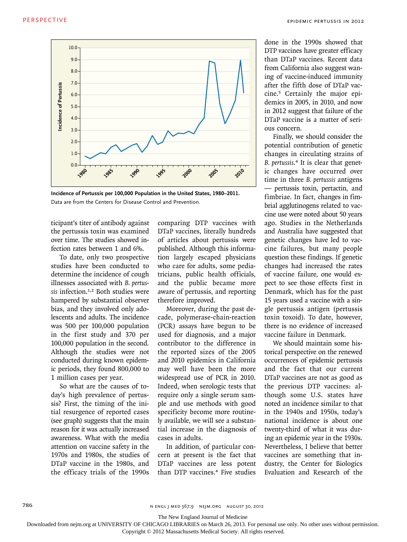

**Incidence of Pertussis per 100,000 Population in the United States, 1980–2011.**  Data are from the Centers for Disease Control and Prevention.

ticipant's titer of antibody against the pertussis toxin was examined over time. The studies showed in- of artic fection rates between 1 and 6%.

To date, only two prospective tion la studies have been conducted to who c determine the incidence of cough illnesses associated with *B. pertussis* infection.1,2 Both studies were hampered by substantial observer bias, and they involved only adolescents and adults. The incidence was 500 per 100,000 population in the first study and 370 per 100,000 population in the second. Although the studies were not conducted during known epidemic periods, they found 800,000 to 1 million cases per year.

So what are the causes of today's high prevalence of pertussis? First, the timing of the initial resurgence of reported cases (see graph) suggests that the main reason for it was actually increased awareness. What with the media attention on vaccine safety in the 1970s and 1980s, the studies of DTaP vaccine in the 1980s, and the efficacy trials of the 1990s

comparing DTP vaccines with DTaP vaccines, literally hundreds of articles about pertussis were published. Although this informatwo prospective tion largely escaped physicians who care for adults, some pediahe incidence of cough tricians, public health officials, and the public became more aware of pertussis, and reporting therefore improved.

Moreover, during the past decade, polymerase-chain-reaction (PCR) assays have begun to be used for diagnosis, and a major contributor to the difference in the reported sizes of the 2005 and 2010 epidemics in California may well have been the more widespread use of PCR in 2010. Indeed, when serologic tests that require only a single serum sample and use methods with good specificity become more routinely available, we will see a substantial increase in the diagnosis of cases in adults.

In addition, of particular concern at present is the fact that DTaP vaccines are less potent than DTP vaccines.4 Five studies done in the 1990s showed that DTP vaccines have greater efficacy than DTaP vaccines. Recent data from California also suggest waning of vaccine-induced immunity after the fifth dose of DTaP vaccine.5 Certainly the major epidemics in 2005, in 2010, and now in 2012 suggest that failure of the DTaP vaccine is a matter of serious concern.

Finally, we should consider the potential contribution of genetic changes in circulating strains of *B. pertussis*. 4 It is clear that genetic changes have occurred over time in three *B. pertussis* antigens — pertussis toxin, pertactin, and fimbriae. In fact, changes in fimbrial agglutinogens related to vaccine use were noted about 50 years ago. Studies in the Netherlands and Australia have suggested that genetic changes have led to vaccine failures, but many people question these findings. If genetic changes had increased the rates of vaccine failure, one would expect to see those effects first in Denmark, which has for the past 15 years used a vaccine with a single pertussis antigen (pertussis toxin toxoid). To date, however, there is no evidence of increased vaccine failure in Denmark.

We should maintain some historical perspective on the renewed occurrences of epidemic pertussis and the fact that our current DTaP vaccines are not as good as the previous DTP vaccines: although some U.S. states have noted an incidence similar to that in the 1940s and 1950s, today's national incidence is about one twenty-third of what it was during an epidemic year in the 1930s. Nevertheless, I believe that better vaccines are something that industry, the Center for Biologics Evaluation and Research of the

786 n engl j med 367;9 nejm.org august 30, 2012

The New England Journal of Medicine

Downloaded from nejm.org at UNIVERSITY OF CHICAGO LIBRARIES on March 26, 2013. For personal use only. No other uses without permission.

Copyright © 2012 Massachusetts Medical Society. All rights reserved.